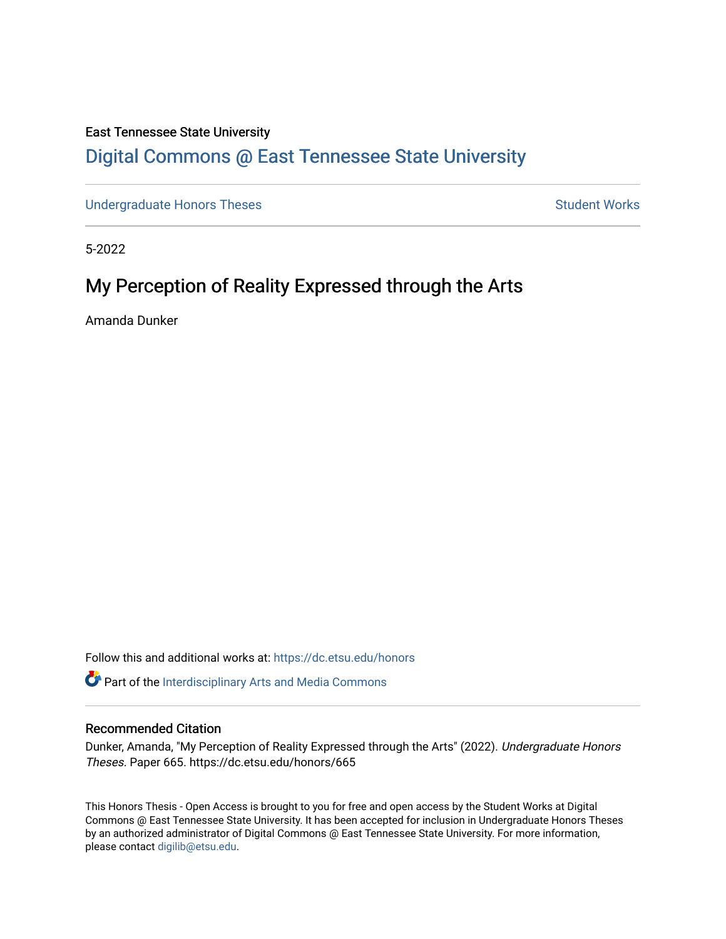#### East Tennessee State University

## [Digital Commons @ East Tennessee State University](https://dc.etsu.edu/)

[Undergraduate Honors Theses](https://dc.etsu.edu/honors) **Student Works** Student Works

5-2022

# My Perception of Reality Expressed through the Arts

Amanda Dunker

Follow this and additional works at: [https://dc.etsu.edu/honors](https://dc.etsu.edu/honors?utm_source=dc.etsu.edu%2Fhonors%2F665&utm_medium=PDF&utm_campaign=PDFCoverPages)

**Part of the Interdisciplinary Arts and Media Commons** 

#### Recommended Citation

Dunker, Amanda, "My Perception of Reality Expressed through the Arts" (2022). Undergraduate Honors Theses. Paper 665. https://dc.etsu.edu/honors/665

This Honors Thesis - Open Access is brought to you for free and open access by the Student Works at Digital Commons @ East Tennessee State University. It has been accepted for inclusion in Undergraduate Honors Theses by an authorized administrator of Digital Commons @ East Tennessee State University. For more information, please contact [digilib@etsu.edu.](mailto:digilib@etsu.edu)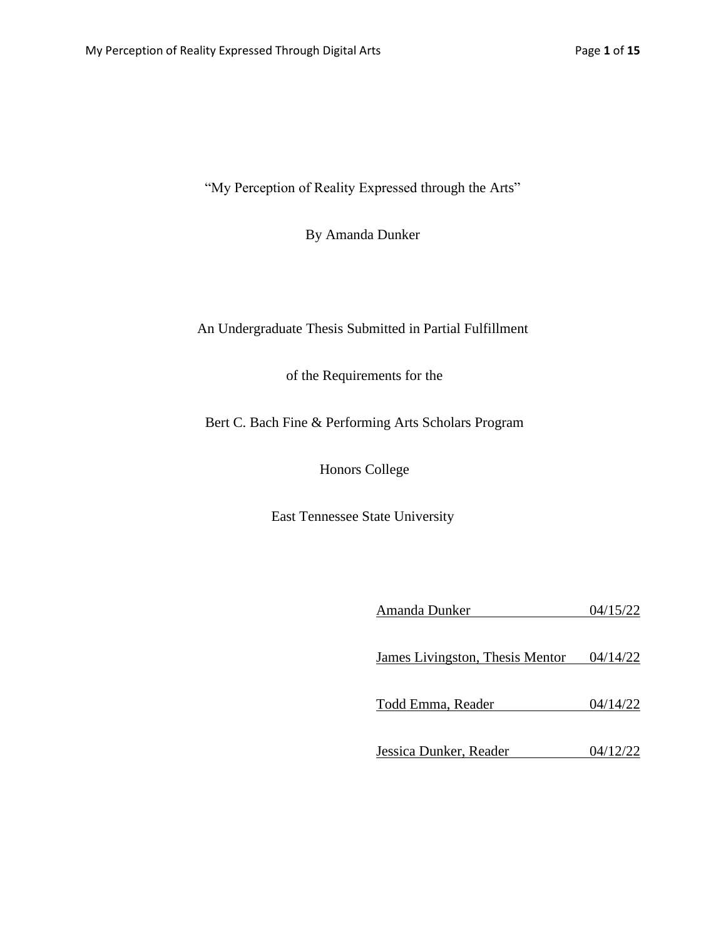"My Perception of Reality Expressed through the Arts"

By Amanda Dunker

### An Undergraduate Thesis Submitted in Partial Fulfillment

of the Requirements for the

Bert C. Bach Fine & Performing Arts Scholars Program

Honors College

East Tennessee State University

| Amanda Dunker                   | 04/15/22 |
|---------------------------------|----------|
| James Livingston, Thesis Mentor | 04/14/22 |
| Todd Emma, Reader               | 04/14/22 |
| Jessica Dunker, Reader          | 04/12/22 |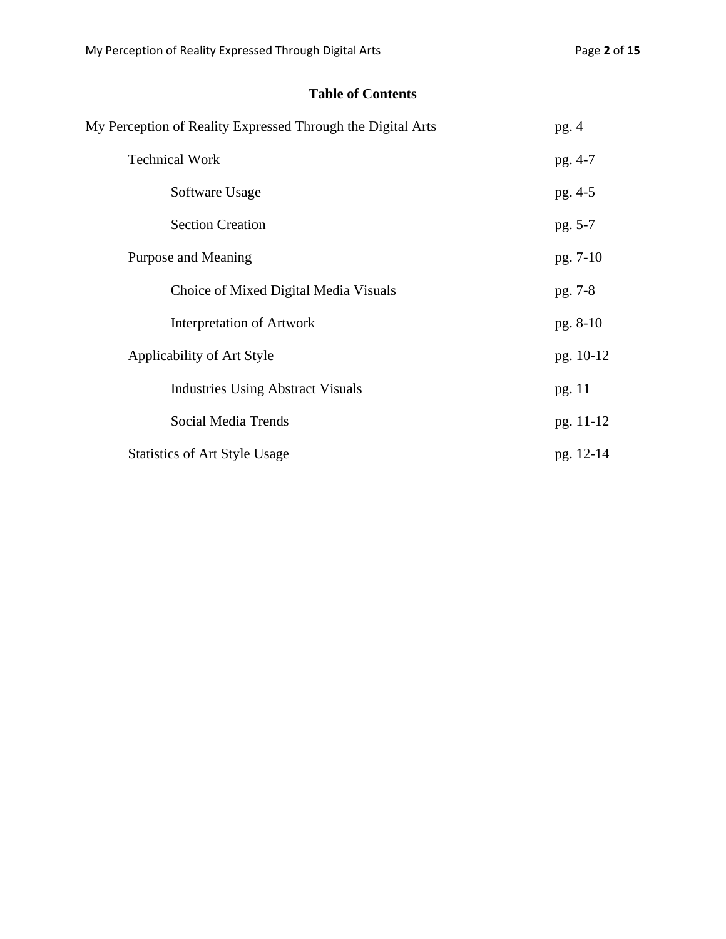## **Table of Contents**

| My Perception of Reality Expressed Through the Digital Arts | pg.4      |
|-------------------------------------------------------------|-----------|
| <b>Technical Work</b>                                       | pg. 4-7   |
| Software Usage                                              | pg. 4-5   |
| <b>Section Creation</b>                                     | pg. 5-7   |
| Purpose and Meaning                                         | pg. 7-10  |
| Choice of Mixed Digital Media Visuals                       | pg. 7-8   |
| <b>Interpretation of Artwork</b>                            | pg. 8-10  |
| Applicability of Art Style                                  | pg. 10-12 |
| <b>Industries Using Abstract Visuals</b>                    | pg. 11    |
| Social Media Trends                                         | pg. 11-12 |
| <b>Statistics of Art Style Usage</b>                        | pg. 12-14 |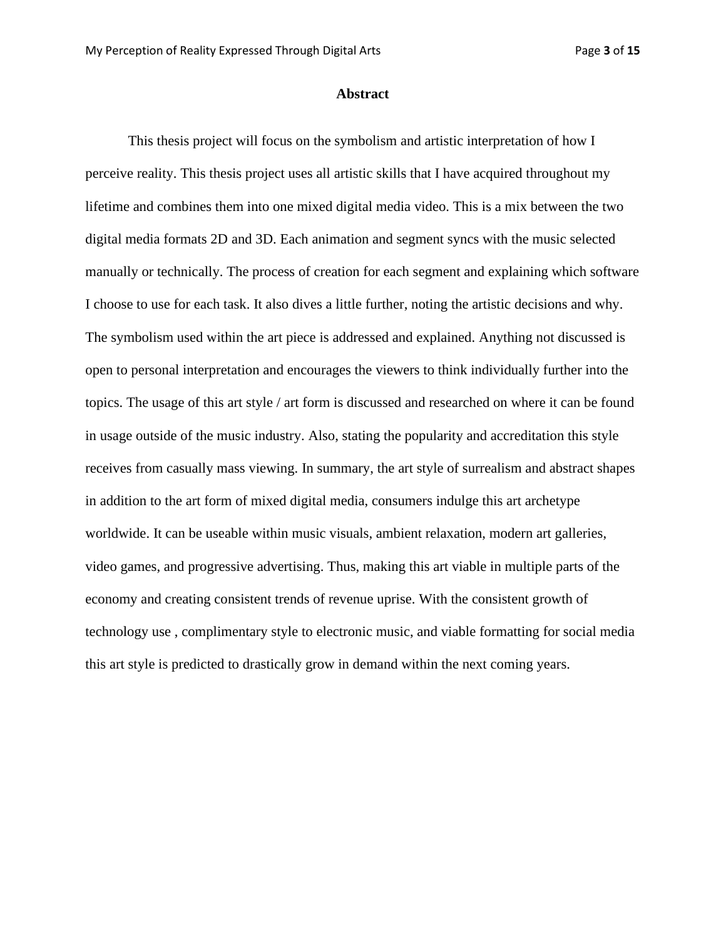#### **Abstract**

This thesis project will focus on the symbolism and artistic interpretation of how I perceive reality. This thesis project uses all artistic skills that I have acquired throughout my lifetime and combines them into one mixed digital media video. This is a mix between the two digital media formats 2D and 3D. Each animation and segment syncs with the music selected manually or technically. The process of creation for each segment and explaining which software I choose to use for each task. It also dives a little further, noting the artistic decisions and why. The symbolism used within the art piece is addressed and explained. Anything not discussed is open to personal interpretation and encourages the viewers to think individually further into the topics. The usage of this art style / art form is discussed and researched on where it can be found in usage outside of the music industry. Also, stating the popularity and accreditation this style receives from casually mass viewing. In summary, the art style of surrealism and abstract shapes in addition to the art form of mixed digital media, consumers indulge this art archetype worldwide. It can be useable within music visuals, ambient relaxation, modern art galleries, video games, and progressive advertising. Thus, making this art viable in multiple parts of the economy and creating consistent trends of revenue uprise. With the consistent growth of technology use , complimentary style to electronic music, and viable formatting for social media this art style is predicted to drastically grow in demand within the next coming years.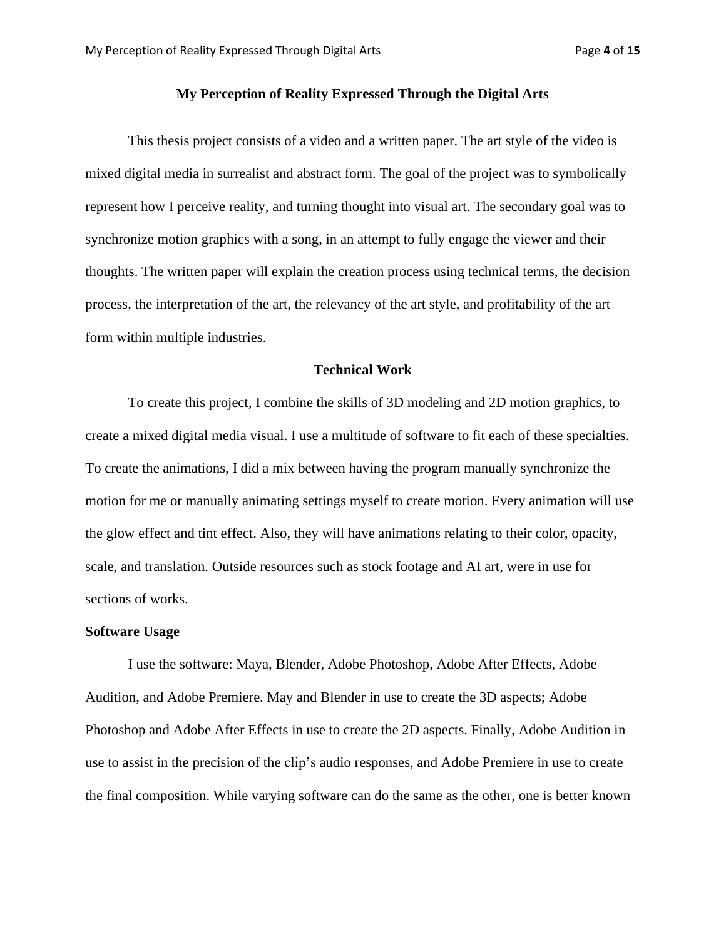#### **My Perception of Reality Expressed Through the Digital Arts**

This thesis project consists of a video and a written paper. The art style of the video is mixed digital media in surrealist and abstract form. The goal of the project was to symbolically represent how I perceive reality, and turning thought into visual art. The secondary goal was to synchronize motion graphics with a song, in an attempt to fully engage the viewer and their thoughts. The written paper will explain the creation process using technical terms, the decision process, the interpretation of the art, the relevancy of the art style, and profitability of the art form within multiple industries.

#### **Technical Work**

To create this project, I combine the skills of 3D modeling and 2D motion graphics, to create a mixed digital media visual. I use a multitude of software to fit each of these specialties. To create the animations, I did a mix between having the program manually synchronize the motion for me or manually animating settings myself to create motion. Every animation will use the glow effect and tint effect. Also, they will have animations relating to their color, opacity, scale, and translation. Outside resources such as stock footage and AI art, were in use for sections of works.

#### **Software Usage**

I use the software: Maya, Blender, Adobe Photoshop, Adobe After Effects, Adobe Audition, and Adobe Premiere. May and Blender in use to create the 3D aspects; Adobe Photoshop and Adobe After Effects in use to create the 2D aspects. Finally, Adobe Audition in use to assist in the precision of the clip's audio responses, and Adobe Premiere in use to create the final composition. While varying software can do the same as the other, one is better known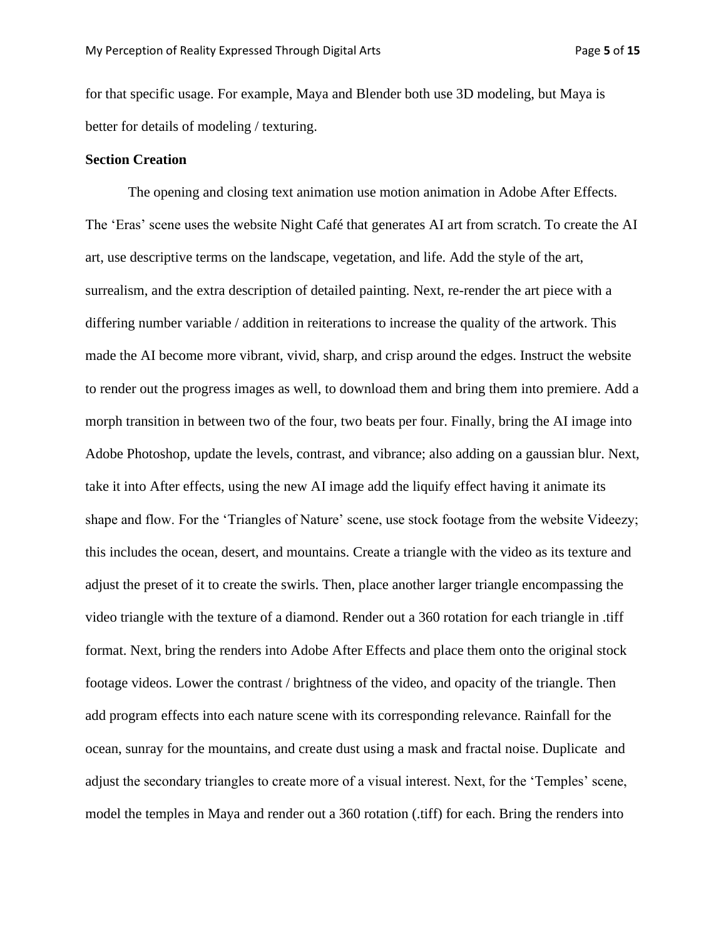for that specific usage. For example, Maya and Blender both use 3D modeling, but Maya is better for details of modeling / texturing.

#### **Section Creation**

The opening and closing text animation use motion animation in Adobe After Effects. The 'Eras' scene uses the website Night Café that generates AI art from scratch. To create the AI art, use descriptive terms on the landscape, vegetation, and life. Add the style of the art, surrealism, and the extra description of detailed painting. Next, re-render the art piece with a differing number variable / addition in reiterations to increase the quality of the artwork. This made the AI become more vibrant, vivid, sharp, and crisp around the edges. Instruct the website to render out the progress images as well, to download them and bring them into premiere. Add a morph transition in between two of the four, two beats per four. Finally, bring the AI image into Adobe Photoshop, update the levels, contrast, and vibrance; also adding on a gaussian blur. Next, take it into After effects, using the new AI image add the liquify effect having it animate its shape and flow. For the 'Triangles of Nature' scene, use stock footage from the website Videezy; this includes the ocean, desert, and mountains. Create a triangle with the video as its texture and adjust the preset of it to create the swirls. Then, place another larger triangle encompassing the video triangle with the texture of a diamond. Render out a 360 rotation for each triangle in .tiff format. Next, bring the renders into Adobe After Effects and place them onto the original stock footage videos. Lower the contrast / brightness of the video, and opacity of the triangle. Then add program effects into each nature scene with its corresponding relevance. Rainfall for the ocean, sunray for the mountains, and create dust using a mask and fractal noise. Duplicate and adjust the secondary triangles to create more of a visual interest. Next, for the 'Temples' scene, model the temples in Maya and render out a 360 rotation (.tiff) for each. Bring the renders into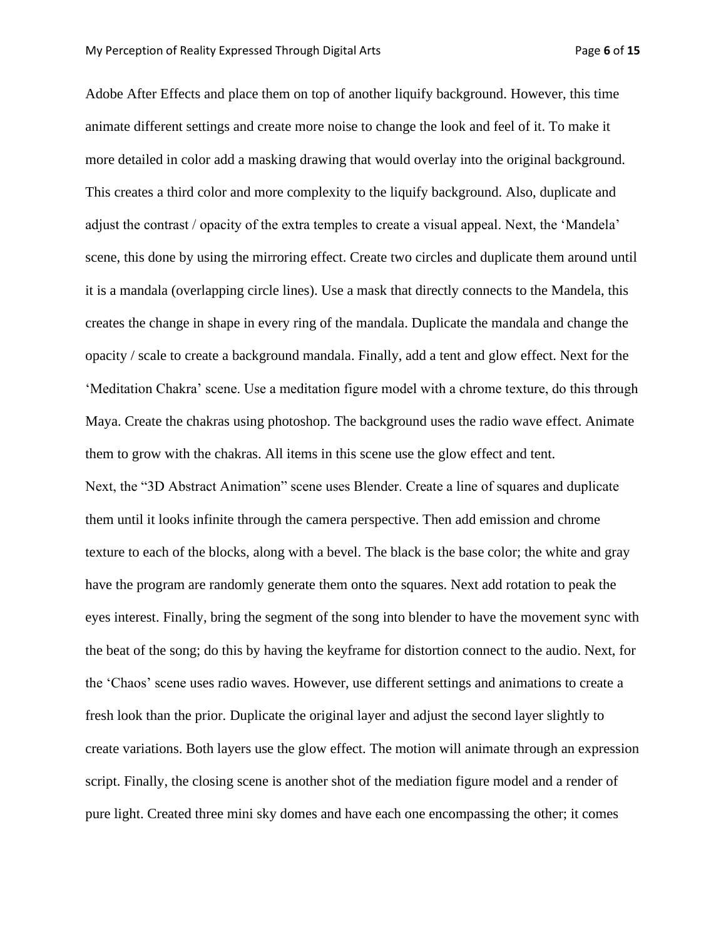Adobe After Effects and place them on top of another liquify background. However, this time animate different settings and create more noise to change the look and feel of it. To make it more detailed in color add a masking drawing that would overlay into the original background. This creates a third color and more complexity to the liquify background. Also, duplicate and adjust the contrast / opacity of the extra temples to create a visual appeal. Next, the 'Mandela' scene, this done by using the mirroring effect. Create two circles and duplicate them around until it is a mandala (overlapping circle lines). Use a mask that directly connects to the Mandela, this creates the change in shape in every ring of the mandala. Duplicate the mandala and change the opacity / scale to create a background mandala. Finally, add a tent and glow effect. Next for the 'Meditation Chakra' scene. Use a meditation figure model with a chrome texture, do this through Maya. Create the chakras using photoshop. The background uses the radio wave effect. Animate them to grow with the chakras. All items in this scene use the glow effect and tent. Next, the "3D Abstract Animation" scene uses Blender. Create a line of squares and duplicate them until it looks infinite through the camera perspective. Then add emission and chrome texture to each of the blocks, along with a bevel. The black is the base color; the white and gray have the program are randomly generate them onto the squares. Next add rotation to peak the eyes interest. Finally, bring the segment of the song into blender to have the movement sync with the beat of the song; do this by having the keyframe for distortion connect to the audio. Next, for the 'Chaos' scene uses radio waves. However, use different settings and animations to create a fresh look than the prior. Duplicate the original layer and adjust the second layer slightly to create variations. Both layers use the glow effect. The motion will animate through an expression script. Finally, the closing scene is another shot of the mediation figure model and a render of pure light. Created three mini sky domes and have each one encompassing the other; it comes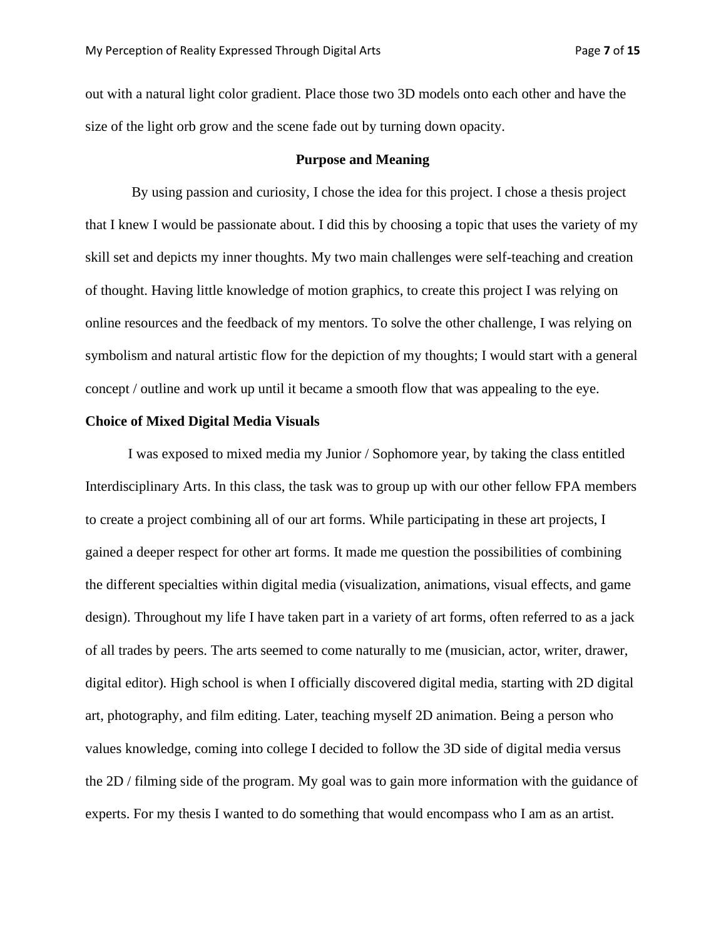out with a natural light color gradient. Place those two 3D models onto each other and have the size of the light orb grow and the scene fade out by turning down opacity.

#### **Purpose and Meaning**

By using passion and curiosity, I chose the idea for this project. I chose a thesis project that I knew I would be passionate about. I did this by choosing a topic that uses the variety of my skill set and depicts my inner thoughts. My two main challenges were self-teaching and creation of thought. Having little knowledge of motion graphics, to create this project I was relying on online resources and the feedback of my mentors. To solve the other challenge, I was relying on symbolism and natural artistic flow for the depiction of my thoughts; I would start with a general concept / outline and work up until it became a smooth flow that was appealing to the eye.

#### **Choice of Mixed Digital Media Visuals**

I was exposed to mixed media my Junior / Sophomore year, by taking the class entitled Interdisciplinary Arts. In this class, the task was to group up with our other fellow FPA members to create a project combining all of our art forms. While participating in these art projects, I gained a deeper respect for other art forms. It made me question the possibilities of combining the different specialties within digital media (visualization, animations, visual effects, and game design). Throughout my life I have taken part in a variety of art forms, often referred to as a jack of all trades by peers. The arts seemed to come naturally to me (musician, actor, writer, drawer, digital editor). High school is when I officially discovered digital media, starting with 2D digital art, photography, and film editing. Later, teaching myself 2D animation. Being a person who values knowledge, coming into college I decided to follow the 3D side of digital media versus the 2D / filming side of the program. My goal was to gain more information with the guidance of experts. For my thesis I wanted to do something that would encompass who I am as an artist.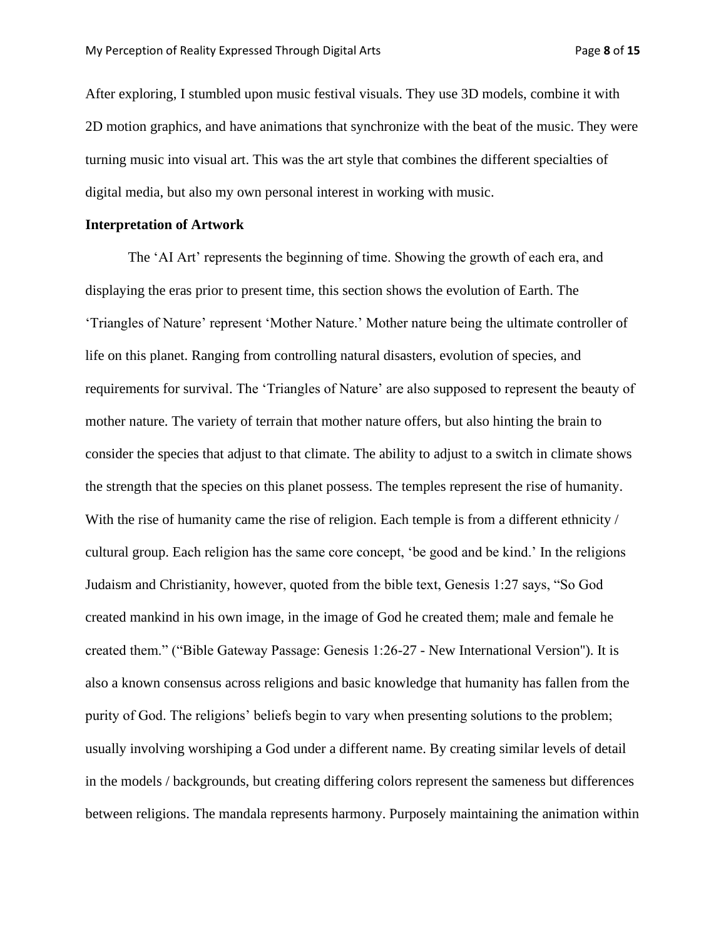After exploring, I stumbled upon music festival visuals. They use 3D models, combine it with 2D motion graphics, and have animations that synchronize with the beat of the music. They were turning music into visual art. This was the art style that combines the different specialties of digital media, but also my own personal interest in working with music.

#### **Interpretation of Artwork**

The 'AI Art' represents the beginning of time. Showing the growth of each era, and displaying the eras prior to present time, this section shows the evolution of Earth. The 'Triangles of Nature' represent 'Mother Nature.' Mother nature being the ultimate controller of life on this planet. Ranging from controlling natural disasters, evolution of species, and requirements for survival. The 'Triangles of Nature' are also supposed to represent the beauty of mother nature. The variety of terrain that mother nature offers, but also hinting the brain to consider the species that adjust to that climate. The ability to adjust to a switch in climate shows the strength that the species on this planet possess. The temples represent the rise of humanity. With the rise of humanity came the rise of religion. Each temple is from a different ethnicity / cultural group. Each religion has the same core concept, 'be good and be kind.' In the religions Judaism and Christianity, however, quoted from the bible text, Genesis 1:27 says, "So God created mankind in his own image, in the image of God he created them; male and female he created them." ("Bible Gateway Passage: Genesis 1:26-27 - New International Version''). It is also a known consensus across religions and basic knowledge that humanity has fallen from the purity of God. The religions' beliefs begin to vary when presenting solutions to the problem; usually involving worshiping a God under a different name. By creating similar levels of detail in the models / backgrounds, but creating differing colors represent the sameness but differences between religions. The mandala represents harmony. Purposely maintaining the animation within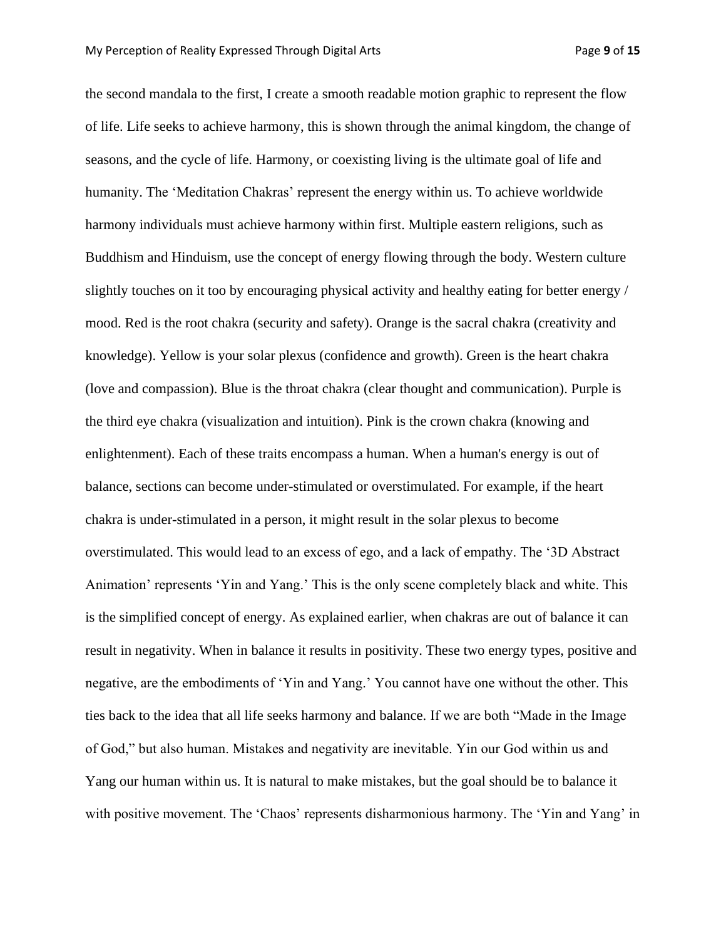the second mandala to the first, I create a smooth readable motion graphic to represent the flow of life. Life seeks to achieve harmony, this is shown through the animal kingdom, the change of seasons, and the cycle of life. Harmony, or coexisting living is the ultimate goal of life and humanity. The 'Meditation Chakras' represent the energy within us. To achieve worldwide harmony individuals must achieve harmony within first. Multiple eastern religions, such as Buddhism and Hinduism, use the concept of energy flowing through the body. Western culture slightly touches on it too by encouraging physical activity and healthy eating for better energy / mood. Red is the root chakra (security and safety). Orange is the sacral chakra (creativity and knowledge). Yellow is your solar plexus (confidence and growth). Green is the heart chakra (love and compassion). Blue is the throat chakra (clear thought and communication). Purple is the third eye chakra (visualization and intuition). Pink is the crown chakra (knowing and enlightenment). Each of these traits encompass a human. When a human's energy is out of balance, sections can become under-stimulated or overstimulated. For example, if the heart chakra is under-stimulated in a person, it might result in the solar plexus to become overstimulated. This would lead to an excess of ego, and a lack of empathy. The '3D Abstract Animation' represents 'Yin and Yang.' This is the only scene completely black and white. This is the simplified concept of energy. As explained earlier, when chakras are out of balance it can result in negativity. When in balance it results in positivity. These two energy types, positive and negative, are the embodiments of 'Yin and Yang.' You cannot have one without the other. This ties back to the idea that all life seeks harmony and balance. If we are both "Made in the Image of God," but also human. Mistakes and negativity are inevitable. Yin our God within us and Yang our human within us. It is natural to make mistakes, but the goal should be to balance it with positive movement. The 'Chaos' represents disharmonious harmony. The 'Yin and Yang' in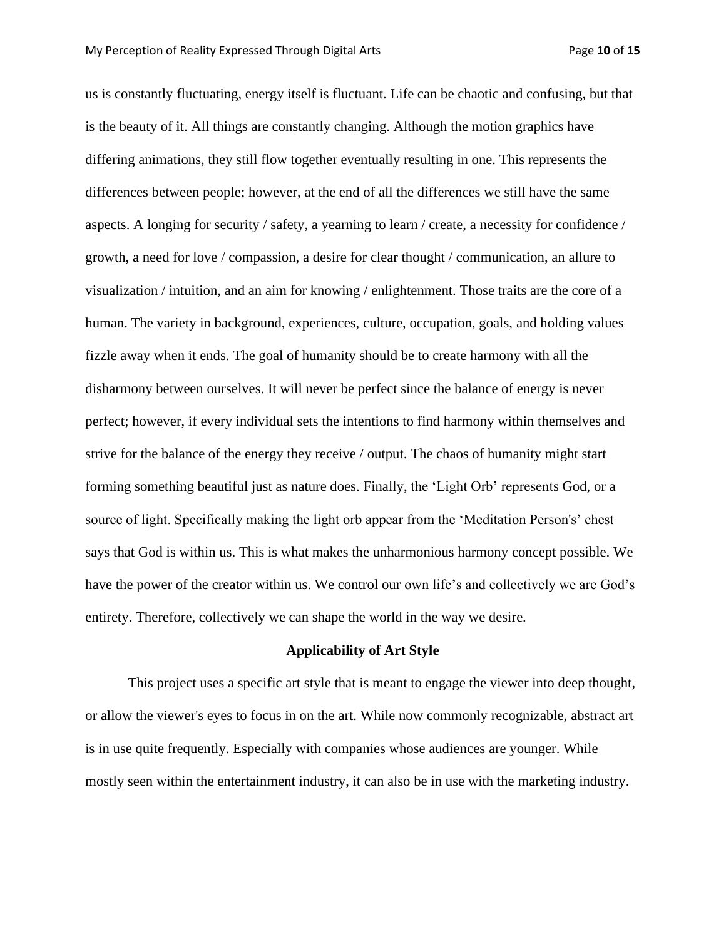us is constantly fluctuating, energy itself is fluctuant. Life can be chaotic and confusing, but that is the beauty of it. All things are constantly changing. Although the motion graphics have differing animations, they still flow together eventually resulting in one. This represents the differences between people; however, at the end of all the differences we still have the same aspects. A longing for security / safety, a yearning to learn / create, a necessity for confidence / growth, a need for love / compassion, a desire for clear thought / communication, an allure to visualization / intuition, and an aim for knowing / enlightenment. Those traits are the core of a human. The variety in background, experiences, culture, occupation, goals, and holding values fizzle away when it ends. The goal of humanity should be to create harmony with all the disharmony between ourselves. It will never be perfect since the balance of energy is never perfect; however, if every individual sets the intentions to find harmony within themselves and strive for the balance of the energy they receive / output. The chaos of humanity might start forming something beautiful just as nature does. Finally, the 'Light Orb' represents God, or a source of light. Specifically making the light orb appear from the 'Meditation Person's' chest says that God is within us. This is what makes the unharmonious harmony concept possible. We have the power of the creator within us. We control our own life's and collectively we are God's entirety. Therefore, collectively we can shape the world in the way we desire.

#### **Applicability of Art Style**

This project uses a specific art style that is meant to engage the viewer into deep thought, or allow the viewer's eyes to focus in on the art. While now commonly recognizable, abstract art is in use quite frequently. Especially with companies whose audiences are younger. While mostly seen within the entertainment industry, it can also be in use with the marketing industry.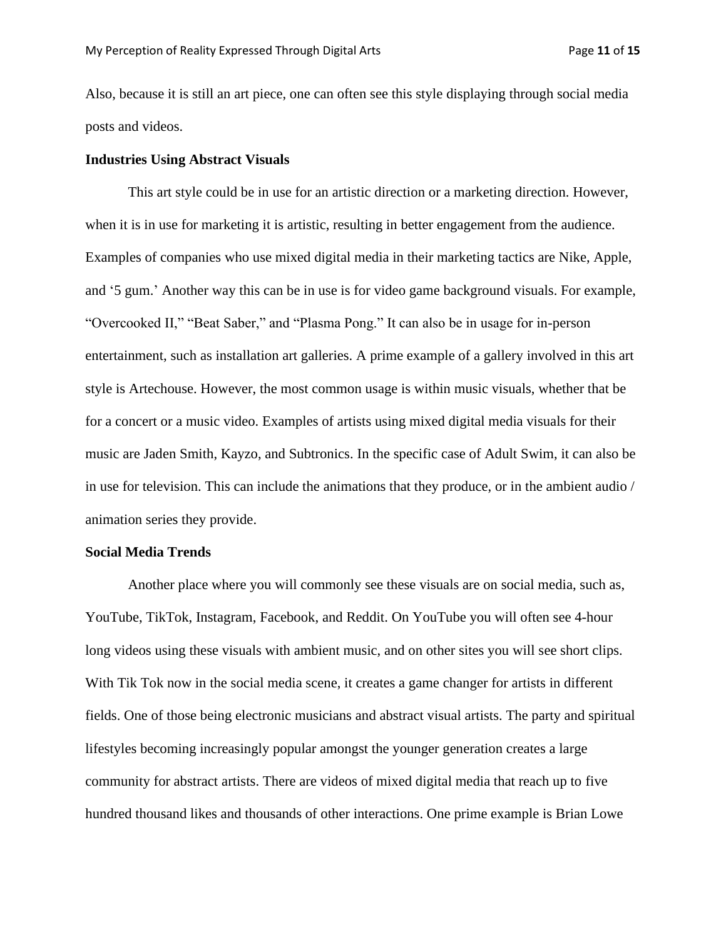Also, because it is still an art piece, one can often see this style displaying through social media posts and videos.

#### **Industries Using Abstract Visuals**

This art style could be in use for an artistic direction or a marketing direction. However, when it is in use for marketing it is artistic, resulting in better engagement from the audience. Examples of companies who use mixed digital media in their marketing tactics are Nike, Apple, and '5 gum.' Another way this can be in use is for video game background visuals. For example, "Overcooked II," "Beat Saber," and "Plasma Pong." It can also be in usage for in-person entertainment, such as installation art galleries. A prime example of a gallery involved in this art style is Artechouse. However, the most common usage is within music visuals, whether that be for a concert or a music video. Examples of artists using mixed digital media visuals for their music are Jaden Smith, Kayzo, and Subtronics. In the specific case of Adult Swim, it can also be in use for television. This can include the animations that they produce, or in the ambient audio / animation series they provide.

#### **Social Media Trends**

Another place where you will commonly see these visuals are on social media, such as, YouTube, TikTok, Instagram, Facebook, and Reddit. On YouTube you will often see 4-hour long videos using these visuals with ambient music, and on other sites you will see short clips. With Tik Tok now in the social media scene, it creates a game changer for artists in different fields. One of those being electronic musicians and abstract visual artists. The party and spiritual lifestyles becoming increasingly popular amongst the younger generation creates a large community for abstract artists. There are videos of mixed digital media that reach up to five hundred thousand likes and thousands of other interactions. One prime example is Brian Lowe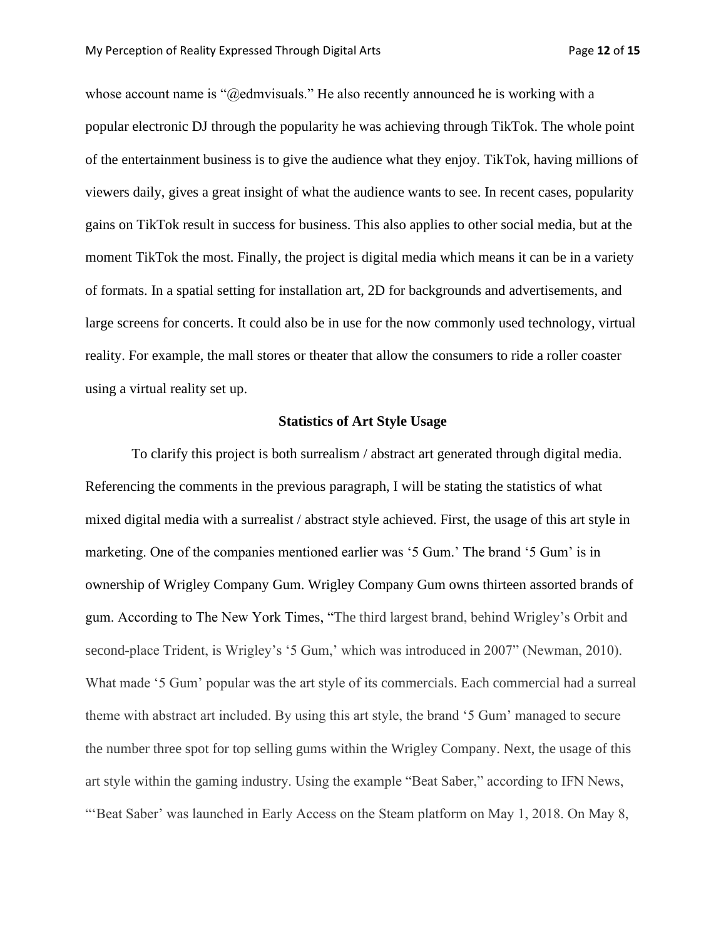whose account name is "@edmvisuals." He also recently announced he is working with a popular electronic DJ through the popularity he was achieving through TikTok. The whole point of the entertainment business is to give the audience what they enjoy. TikTok, having millions of viewers daily, gives a great insight of what the audience wants to see. In recent cases, popularity gains on TikTok result in success for business. This also applies to other social media, but at the moment TikTok the most. Finally, the project is digital media which means it can be in a variety of formats. In a spatial setting for installation art, 2D for backgrounds and advertisements, and large screens for concerts. It could also be in use for the now commonly used technology, virtual reality. For example, the mall stores or theater that allow the consumers to ride a roller coaster using a virtual reality set up.

#### **Statistics of Art Style Usage**

To clarify this project is both surrealism / abstract art generated through digital media. Referencing the comments in the previous paragraph, I will be stating the statistics of what mixed digital media with a surrealist / abstract style achieved. First, the usage of this art style in marketing. One of the companies mentioned earlier was '5 Gum.' The brand '5 Gum' is in ownership of Wrigley Company Gum. Wrigley Company Gum owns thirteen assorted brands of gum. According to The New York Times, "The third largest brand, behind Wrigley's Orbit and second-place Trident, is Wrigley's '5 Gum,' which was introduced in 2007" (Newman, 2010). What made '5 Gum' popular was the art style of its commercials. Each commercial had a surreal theme with abstract art included. By using this art style, the brand '5 Gum' managed to secure the number three spot for top selling gums within the Wrigley Company. Next, the usage of this art style within the gaming industry. Using the example "Beat Saber," according to IFN News, "'Beat Saber' was launched in Early Access on the Steam platform on May 1, 2018. On May 8,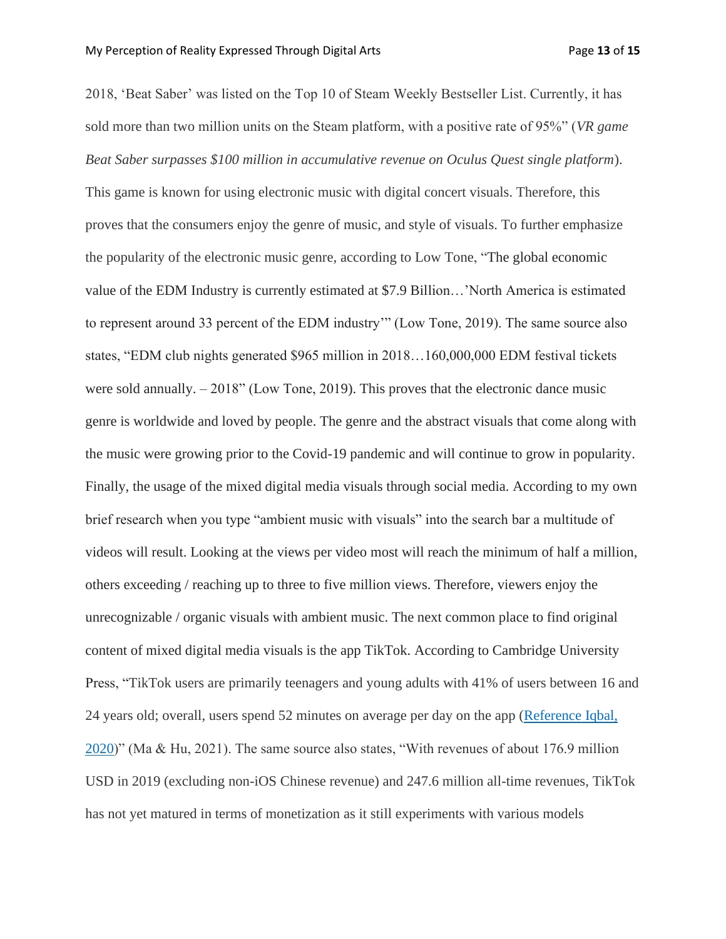2018, 'Beat Saber' was listed on the Top 10 of Steam Weekly Bestseller List. Currently, it has sold more than two million units on the Steam platform, with a positive rate of 95%" (*VR game Beat Saber surpasses \$100 million in accumulative revenue on Oculus Quest single platform*). This game is known for using electronic music with digital concert visuals. Therefore, this proves that the consumers enjoy the genre of music, and style of visuals. To further emphasize the popularity of the electronic music genre, according to Low Tone, "The global economic value of the EDM Industry is currently estimated at \$7.9 Billion…'North America is estimated to represent around 33 percent of the EDM industry'" (Low Tone, 2019). The same source also states, "EDM club nights generated \$965 million in 2018…160,000,000 EDM festival tickets were sold annually. – 2018" (Low Tone, 2019). This proves that the electronic dance music genre is worldwide and loved by people. The genre and the abstract visuals that come along with the music were growing prior to the Covid-19 pandemic and will continue to grow in popularity. Finally, the usage of the mixed digital media visuals through social media. According to my own brief research when you type "ambient music with visuals" into the search bar a multitude of videos will result. Looking at the views per video most will reach the minimum of half a million, others exceeding / reaching up to three to five million views. Therefore, viewers enjoy the unrecognizable / organic visuals with ambient music. The next common place to find original content of mixed digital media visuals is the app TikTok. According to Cambridge University Press, "TikTok users are primarily teenagers and young adults with 41% of users between 16 and 24 years old; overall, users spend 52 minutes on average per day on the app [\(Reference Iqbal,](https://www.cambridge.org/core/journals/management-and-organization-review/article/business-model-innovation-and-experimentation-in-transforming-economies-bytedance-and-tiktok/057C8387EC953C14ED10AA8996F53947#ref5)  [2020\)](https://www.cambridge.org/core/journals/management-and-organization-review/article/business-model-innovation-and-experimentation-in-transforming-economies-bytedance-and-tiktok/057C8387EC953C14ED10AA8996F53947#ref5)" (Ma & Hu, 2021). The same source also states, "With revenues of about 176.9 million USD in 2019 (excluding non-iOS Chinese revenue) and 247.6 million all-time revenues, TikTok has not yet matured in terms of monetization as it still experiments with various models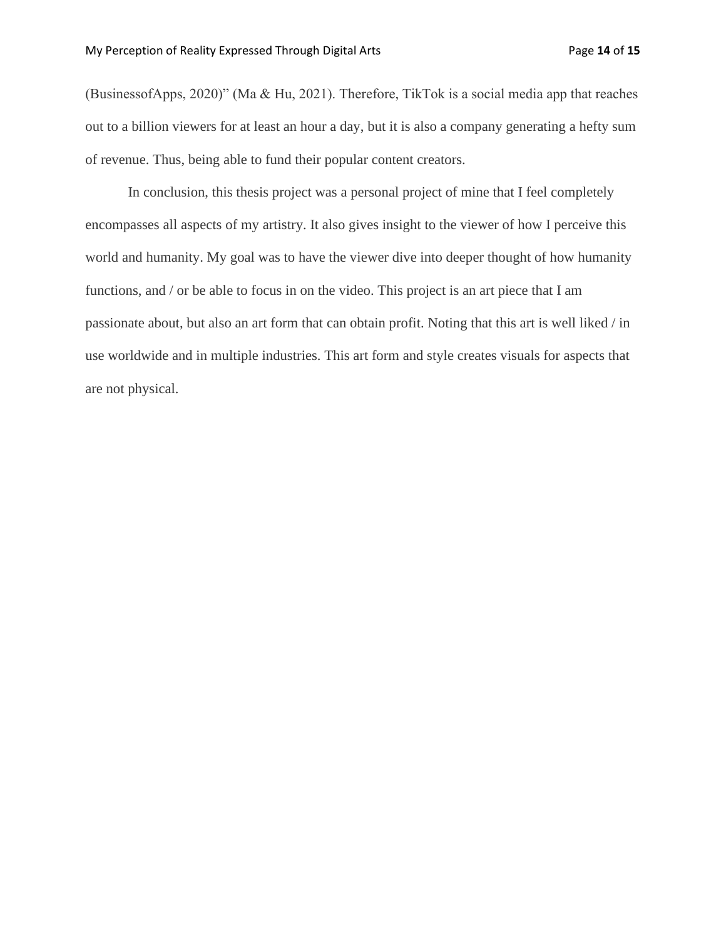(BusinessofApps, 2020)" (Ma & Hu, 2021). Therefore, TikTok is a social media app that reaches out to a billion viewers for at least an hour a day, but it is also a company generating a hefty sum of revenue. Thus, being able to fund their popular content creators.

In conclusion, this thesis project was a personal project of mine that I feel completely encompasses all aspects of my artistry. It also gives insight to the viewer of how I perceive this world and humanity. My goal was to have the viewer dive into deeper thought of how humanity functions, and / or be able to focus in on the video. This project is an art piece that I am passionate about, but also an art form that can obtain profit. Noting that this art is well liked / in use worldwide and in multiple industries. This art form and style creates visuals for aspects that are not physical.